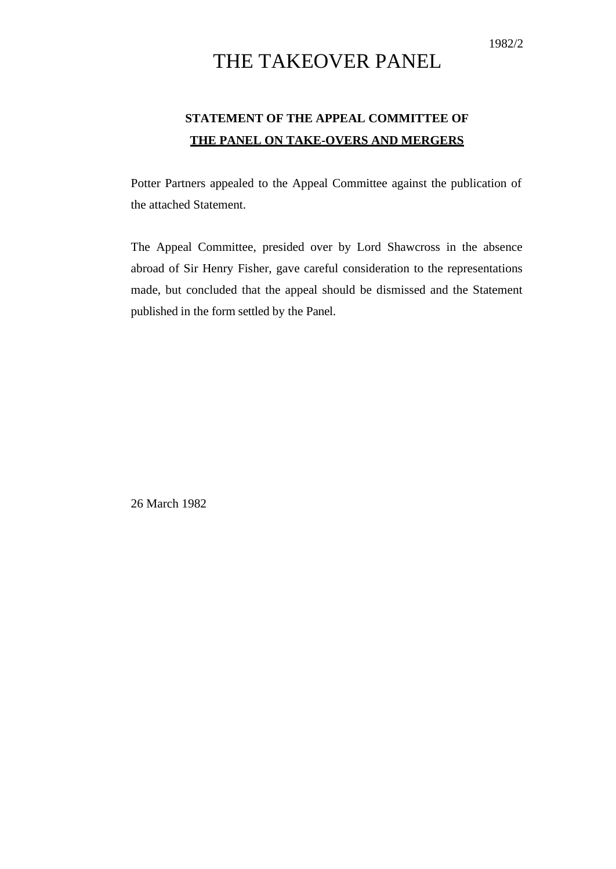## THE TAKEOVER PANEL

## **STATEMENT OF THE APPEAL COMMITTEE OF THE PANEL ON TAKE-OVERS AND MERGERS**

Potter Partners appealed to the Appeal Committee against the publication of the attached Statement.

The Appeal Committee, presided over by Lord Shawcross in the absence abroad of Sir Henry Fisher, gave careful consideration to the representations made, but concluded that the appeal should be dismissed and the Statement published in the form settled by the Panel.

26 March 1982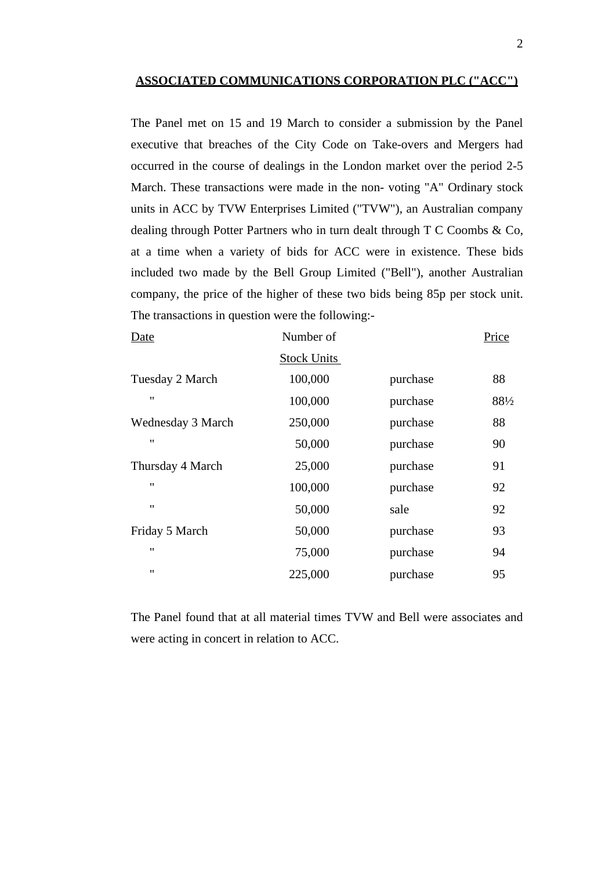## **ASSOCIATED COMMUNICATIONS CORPORATION PLC ("ACC")**

The Panel met on 15 and 19 March to consider a submission by the Panel executive that breaches of the City Code on Take-overs and Mergers had occurred in the course of dealings in the London market over the period 2-5 March. These transactions were made in the non- voting "A" Ordinary stock units in ACC by TVW Enterprises Limited ("TVW"), an Australian company dealing through Potter Partners who in turn dealt through T C Coombs & Co, at a time when a variety of bids for ACC were in existence. These bids included two made by the Bell Group Limited ("Bell"), another Australian company, the price of the higher of these two bids being 85p per stock unit. The transactions in question were the following:-

| Date               | Number of          |          | Price |
|--------------------|--------------------|----------|-------|
|                    | <b>Stock Units</b> |          |       |
| Tuesday 2 March    | 100,000            | purchase | 88    |
| $^{\prime\prime}$  | 100,000            | purchase | 88½   |
| Wednesday 3 March  | 250,000            | purchase | 88    |
| $^{\prime\prime}$  | 50,000             | purchase | 90    |
| Thursday 4 March   | 25,000             | purchase | 91    |
| $\pmb{\mathsf{H}}$ | 100,000            | purchase | 92    |
| $^{\prime\prime}$  | 50,000             | sale     | 92    |
| Friday 5 March     | 50,000             | purchase | 93    |
| $^{\prime\prime}$  | 75,000             | purchase | 94    |
| $^{\prime\prime}$  | 225,000            | purchase | 95    |
|                    |                    |          |       |

The Panel found that at all material times TVW and Bell were associates and were acting in concert in relation to ACC.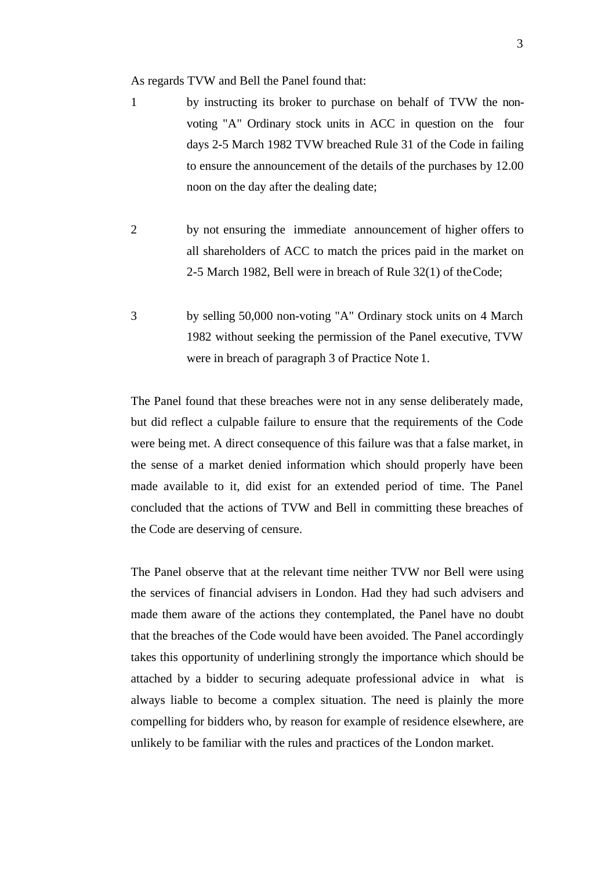As regards TVW and Bell the Panel found that:

- 1 by instructing its broker to purchase on behalf of TVW the nonvoting "A" Ordinary stock units in ACC in question on the four days 2-5 March 1982 TVW breached Rule 31 of the Code in failing to ensure the announcement of the details of the purchases by 12.00 noon on the day after the dealing date;
- 2 by not ensuring the immediate announcement of higher offers to all shareholders of ACC to match the prices paid in the market on 2-5 March 1982, Bell were in breach of Rule 32(1) of theCode;
- 3 by selling 50,000 non-voting "A" Ordinary stock units on 4 March 1982 without seeking the permission of the Panel executive, TVW were in breach of paragraph 3 of Practice Note 1.

The Panel found that these breaches were not in any sense deliberately made, but did reflect a culpable failure to ensure that the requirements of the Code were being met. A direct consequence of this failure was that a false market, in the sense of a market denied information which should properly have been made available to it, did exist for an extended period of time. The Panel concluded that the actions of TVW and Bell in committing these breaches of the Code are deserving of censure.

The Panel observe that at the relevant time neither TVW nor Bell were using the services of financial advisers in London. Had they had such advisers and made them aware of the actions they contemplated, the Panel have no doubt that the breaches of the Code would have been avoided. The Panel accordingly takes this opportunity of underlining strongly the importance which should be attached by a bidder to securing adequate professional advice in what is always liable to become a complex situation. The need is plainly the more compelling for bidders who, by reason for example of residence elsewhere, are unlikely to be familiar with the rules and practices of the London market.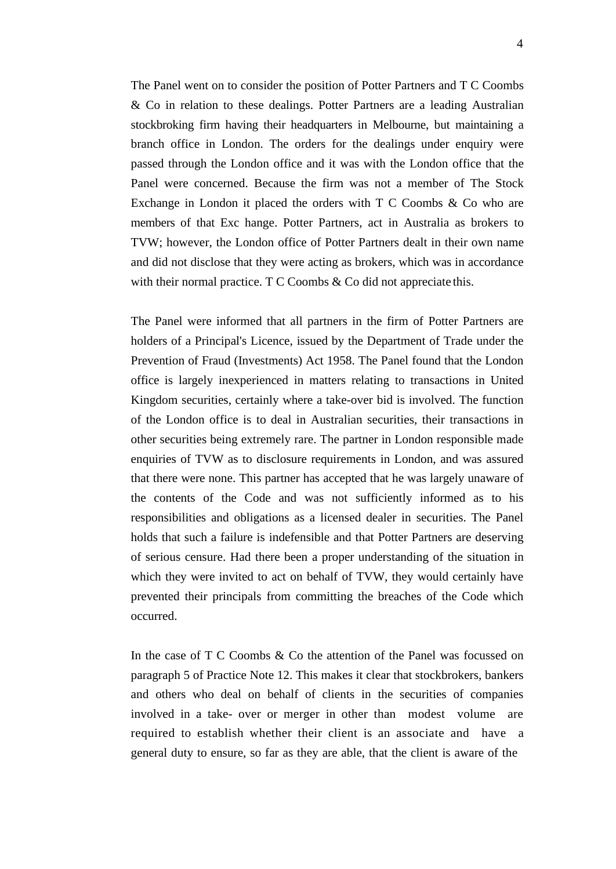The Panel went on to consider the position of Potter Partners and T C Coombs & Co in relation to these dealings. Potter Partners are a leading Australian stockbroking firm having their headquarters in Melbourne, but maintaining a branch office in London. The orders for the dealings under enquiry were passed through the London office and it was with the London office that the Panel were concerned. Because the firm was not a member of The Stock Exchange in London it placed the orders with T C Coombs & Co who are members of that Exc hange. Potter Partners, act in Australia as brokers to TVW; however, the London office of Potter Partners dealt in their own name and did not disclose that they were acting as brokers, which was in accordance with their normal practice.  $T C$  Coombs  $\&$  Co did not appreciate this.

The Panel were informed that all partners in the firm of Potter Partners are holders of a Principal's Licence, issued by the Department of Trade under the Prevention of Fraud (Investments) Act 1958. The Panel found that the London office is largely inexperienced in matters relating to transactions in United Kingdom securities, certainly where a take-over bid is involved. The function of the London office is to deal in Australian securities, their transactions in other securities being extremely rare. The partner in London responsible made enquiries of TVW as to disclosure requirements in London, and was assured that there were none. This partner has accepted that he was largely unaware of the contents of the Code and was not sufficiently informed as to his responsibilities and obligations as a licensed dealer in securities. The Panel holds that such a failure is indefensible and that Potter Partners are deserving of serious censure. Had there been a proper understanding of the situation in which they were invited to act on behalf of TVW, they would certainly have prevented their principals from committing the breaches of the Code which occurred.

In the case of T C Coombs & Co the attention of the Panel was focussed on paragraph 5 of Practice Note 12. This makes it clear that stockbrokers, bankers and others who deal on behalf of clients in the securities of companies involved in a take- over or merger in other than modest volume are required to establish whether their client is an associate and have a general duty to ensure, so far as they are able, that the client is aware of the